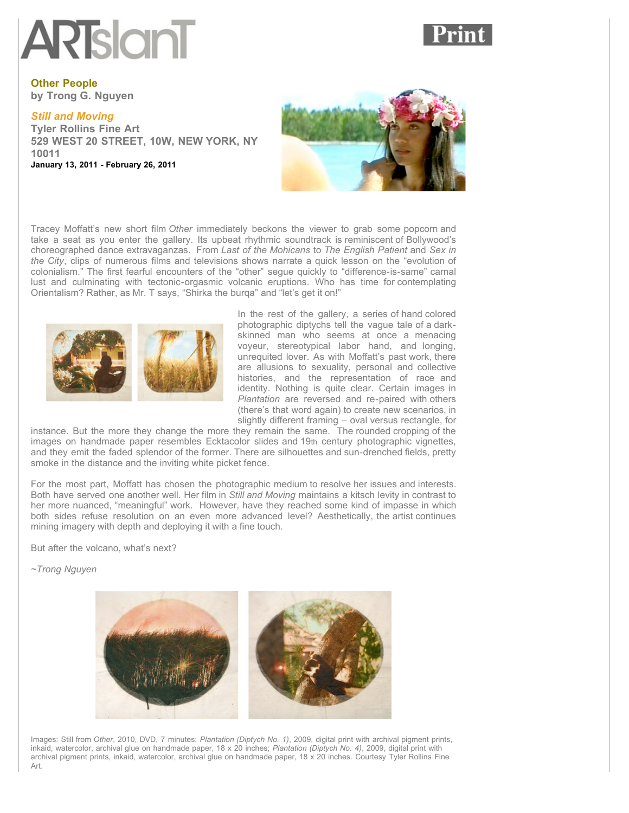## **ARTslanT**



**Other People by Trong G. Nguyen**

## *[Still and Moving](http://www.artslant.com/ny/events/show/140635-still-and-moving)*

**Tyler Rollins Fine Art 529 WEST 20 STREET, 10W, NEW YORK, NY 10011 January 13, 2011 - February 26, 2011**



Tracey Moffatt's new short film *Other* immediately beckons the viewer to grab some popcorn and take a seat as you enter the gallery. Its upbeat rhythmic soundtrack is reminiscent of Bollywood's choreographed dance extravaganzas. From *Last of the Mohicans* to *The English Patient* and *Sex in the City*, clips of numerous films and televisions shows narrate a quick lesson on the "evolution of colonialism." The first fearful encounters of the "other" segue quickly to "difference-is-same" carnal lust and culminating with tectonic-orgasmic volcanic eruptions. Who has time for contemplating Orientalism? Rather, as Mr. T says, "Shirka the burqa" and "let's get it on!"



In the rest of the gallery, a series of hand colored photographic diptychs tell the vague tale of a darkskinned man who seems at once a menacing voyeur, stereotypical labor hand, and longing, unrequited lover. As with Moffatt's past work, there are allusions to sexuality, personal and collective histories, and the representation of race and identity. Nothing is quite clear. Certain images in *Plantation* are reversed and re-paired with others (there's that word again) to create new scenarios, in slightly different framing – oval versus rectangle, for

instance. But the more they change the more they remain the same. The rounded cropping of the images on handmade paper resembles Ecktacolor slides and 19th century photographic vignettes, and they emit the faded splendor of the former. There are silhouettes and sun-drenched fields, pretty smoke in the distance and the inviting white picket fence.

For the most part, Moffatt has chosen the photographic medium to resolve her issues and interests. Both have served one another well. Her film in *Still and Moving* maintains a kitsch levity in contrast to her more nuanced, "meaningful" work. However, have they reached some kind of impasse in which both sides refuse resolution on an even more advanced level? Aesthetically, the artist continues mining imagery with depth and deploying it with a fine touch.

But after the volcano, what's next?

*~Trong Nguyen*



Images: Still from *Other*, 2010, DVD, 7 minutes; *Plantation (Diptych No. 1)*, 2009, digital print with archival pigment prints, inkaid, watercolor, archival glue on handmade paper, 18 x 20 inches; *Plantation (Diptych No. 4)*, 2009, digital print with archival pigment prints, inkaid, watercolor, archival glue on handmade paper, 18 x 20 inches. Courtesy Tyler Rollins Fine Art.